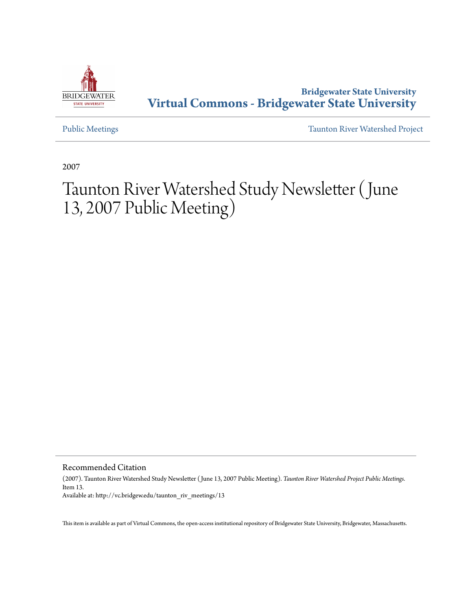

# **Bridgewater State University [Virtual Commons - Bridgewater State University](http://vc.bridgew.edu)**

[Public Meetings](http://vc.bridgew.edu/taunton_riv_meetings) [Taunton River Watershed Project](http://vc.bridgew.edu/taunton_riv)

2007

# Taunton River Watershed Study Newsletter (June 13, 2007 Public Meeting)

Recommended Citation

(2007). Taunton River Watershed Study Newsletter ( June 13, 2007 Public Meeting). *Taunton River Watershed Project Public Meetings.* Item 13. Available at: http://vc.bridgew.edu/taunton\_riv\_meetings/13

This item is available as part of Virtual Commons, the open-access institutional repository of Bridgewater State University, Bridgewater, Massachusetts.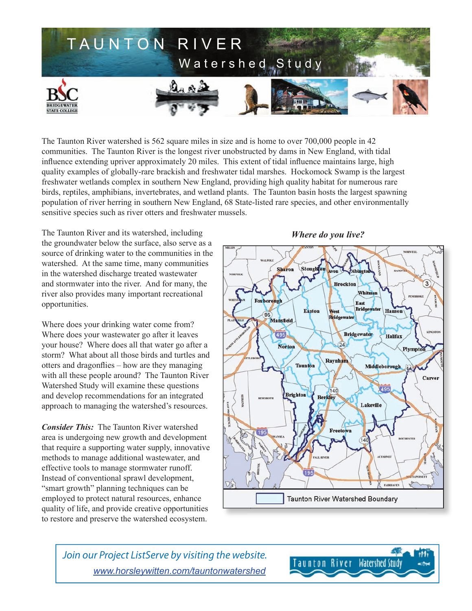

The Taunton River watershed is 562 square miles in size and is home to over 700,000 people in 42 communities. The Taunton River is the longest river unobstructed by dams in New England, with tidal influence extending upriver approximately 20 miles. This extent of tidal influence maintains large, high quality examples of globally-rare brackish and freshwater tidal marshes. Hockomock Swamp is the largest freshwater wetlands complex in southern New England, providing high quality habitat for numerous rare birds, reptiles, amphibians, invertebrates, and wetland plants. The Taunton basin hosts the largest spawning population of river herring in southern New England, 68 State-listed rare species, and other environmentally sensitive species such as river otters and freshwater mussels.

The Taunton River and its watershed, including the groundwater below the surface, also serve as a source of drinking water to the communities in the watershed. At the same time, many communities in the watershed discharge treated wastewater and stormwater into the river. And for many, the river also provides many important recreational opportunities.

Where does your drinking water come from? Where does your wastewater go after it leaves your house? Where does all that water go after a storm? What about all those birds and turtles and otters and dragonflies – how are they managing with all these people around? The Taunton River Watershed Study will examine these questions and develop recommendations for an integrated approach to managing the watershed's resources.

*Consider This:* The Taunton River watershed area is undergoing new growth and development that require a supporting water supply, innovative methods to manage additional wastewater, and effective tools to manage stormwater runoff. Instead of conventional sprawl development, "smart growth" planning techniques can be employed to protect natural resources, enhance quality of life, and provide creative opportunities to restore and preserve the watershed ecosystem.

#### *Where do you live?*



Join our Project ListServe by visiting the website. *www.horsleywitten.com/tauntonwatershed*